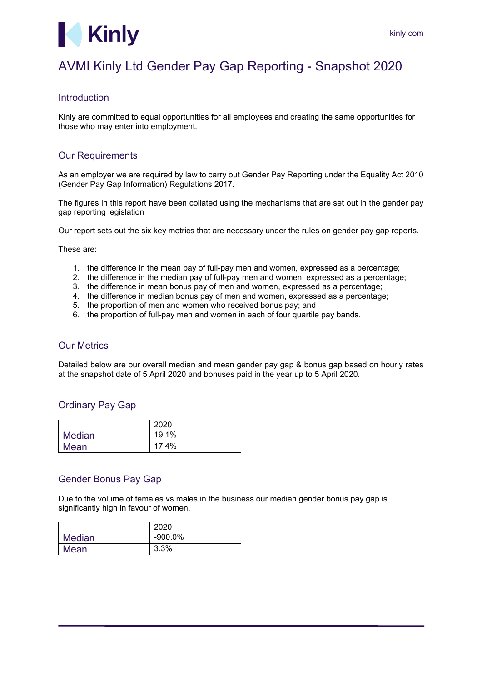

# AVMI Kinly Ltd Gender Pay Gap Reporting - Snapshot 2020

## Introduction

Kinly are committed to equal opportunities for all employees and creating the same opportunities for those who may enter into employment.

## Our Requirements

As an employer we are required by law to carry out Gender Pay Reporting under the Equality Act 2010 (Gender Pay Gap Information) Regulations 2017.

The figures in this report have been collated using the mechanisms that are set out in the gender pay gap reporting legislation

Our report sets out the six key metrics that are necessary under the rules on gender pay gap reports.

These are:

- 1. the difference in the mean pay of full-pay men and women, expressed as a percentage;
- 2. the difference in the median pay of full-pay men and women, expressed as a percentage;
- 3. the difference in mean bonus pay of men and women, expressed as a percentage;
- 4. the difference in median bonus pay of men and women, expressed as a percentage;
- 5. the proportion of men and women who received bonus pay; and
- 6. the proportion of full-pay men and women in each of four quartile pay bands.

#### Our Metrics

Detailed below are our overall median and mean gender pay gap & bonus gap based on hourly rates at the snapshot date of 5 April 2020 and bonuses paid in the year up to 5 April 2020.

## Ordinary Pay Gap

|               | 2020  |
|---------------|-------|
| <b>Median</b> | 19.1% |
| Mean          | 17.4% |

# Gender Bonus Pay Gap

Due to the volume of females vs males in the business our median gender bonus pay gap is significantly high in favour of women.

|        | 2020       |
|--------|------------|
| Median | $-900.0\%$ |
| Mean   | 3.3%       |